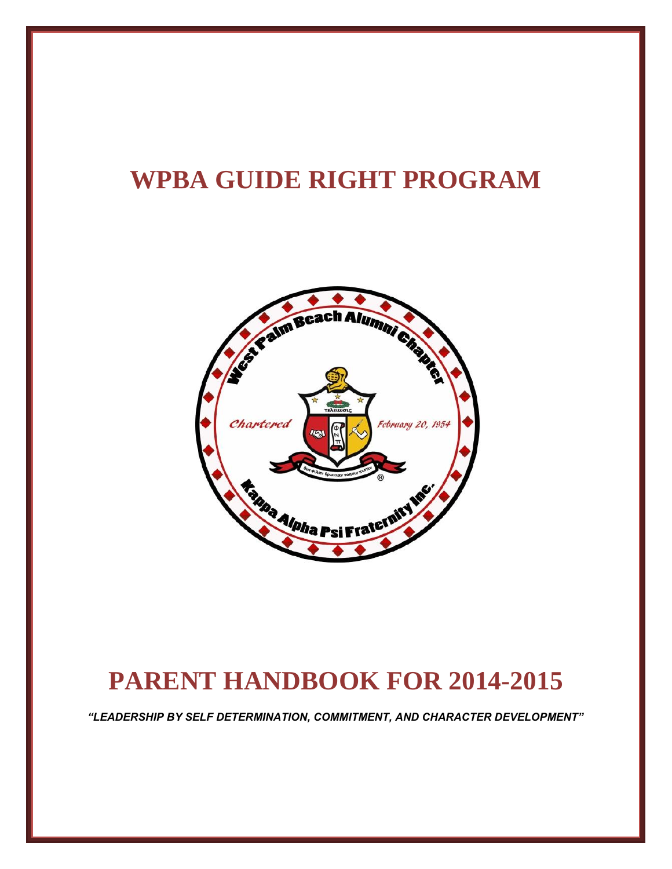# **WPBA GUIDE RIGHT PROGRAM**



## **PARENT HANDBOOK FOR 2014-2015**

*"LEADERSHIP BY SELF DETERMINATION, COMMITMENT, AND CHARACTER DEVELOPMENT"*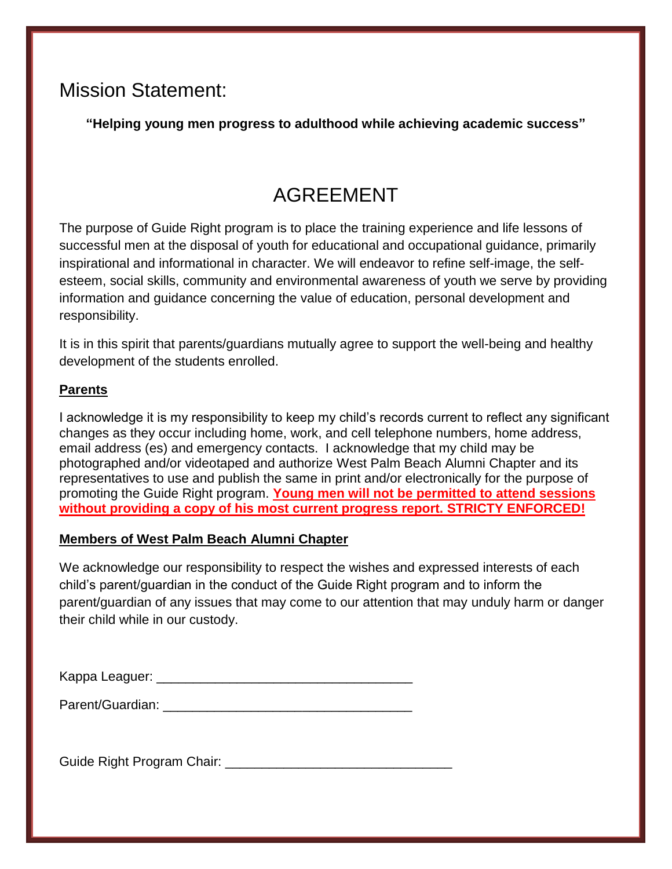### Mission Statement:

**"Helping young men progress to adulthood while achieving academic success"**

## AGREEMENT

The purpose of Guide Right program is to place the training experience and life lessons of successful men at the disposal of youth for educational and occupational guidance, primarily inspirational and informational in character. We will endeavor to refine self-image, the selfesteem, social skills, community and environmental awareness of youth we serve by providing information and guidance concerning the value of education, personal development and responsibility.

It is in this spirit that parents/guardians mutually agree to support the well-being and healthy development of the students enrolled.

#### **Parents**

I acknowledge it is my responsibility to keep my child's records current to reflect any significant changes as they occur including home, work, and cell telephone numbers, home address, email address (es) and emergency contacts. I acknowledge that my child may be photographed and/or videotaped and authorize West Palm Beach Alumni Chapter and its representatives to use and publish the same in print and/or electronically for the purpose of promoting the Guide Right program. **Young men will not be permitted to attend sessions without providing a copy of his most current progress report. STRICTY ENFORCED!**

#### **Members of West Palm Beach Alumni Chapter**

We acknowledge our responsibility to respect the wishes and expressed interests of each child's parent/guardian in the conduct of the Guide Right program and to inform the parent/guardian of any issues that may come to our attention that may unduly harm or danger their child while in our custody.

Kappa Leaguer: \_\_\_\_\_\_\_\_\_\_\_\_\_\_\_\_\_\_\_\_\_\_\_\_\_\_\_\_\_\_\_\_\_\_\_

Parent/Guardian: **Example 2018** 

Guide Right Program Chair: **Example 2018**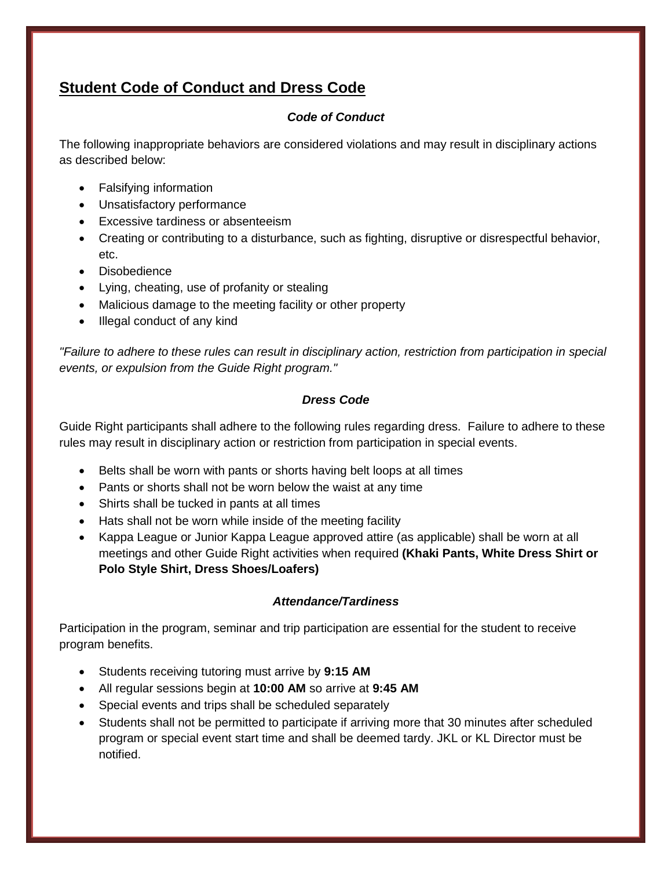### **Student Code of Conduct and Dress Code**

#### *Code of Conduct*

The following inappropriate behaviors are considered violations and may result in disciplinary actions as described below:

- Falsifying information
- Unsatisfactory performance
- Excessive tardiness or absenteeism
- Creating or contributing to a disturbance, such as fighting, disruptive or disrespectful behavior, etc.
- Disobedience
- Lying, cheating, use of profanity or stealing
- Malicious damage to the meeting facility or other property
- Illegal conduct of any kind

*"Failure to adhere to these rules can result in disciplinary action, restriction from participation in special events, or expulsion from the Guide Right program."*

#### *Dress Code*

Guide Right participants shall adhere to the following rules regarding dress. Failure to adhere to these rules may result in disciplinary action or restriction from participation in special events.

- Belts shall be worn with pants or shorts having belt loops at all times
- Pants or shorts shall not be worn below the waist at any time
- Shirts shall be tucked in pants at all times
- Hats shall not be worn while inside of the meeting facility
- Kappa League or Junior Kappa League approved attire (as applicable) shall be worn at all meetings and other Guide Right activities when required **(Khaki Pants, White Dress Shirt or Polo Style Shirt, Dress Shoes/Loafers)**

#### *Attendance/Tardiness*

Participation in the program, seminar and trip participation are essential for the student to receive program benefits.

- Students receiving tutoring must arrive by **9:15 AM**
- All regular sessions begin at **10:00 AM** so arrive at **9:45 AM**
- Special events and trips shall be scheduled separately
- Students shall not be permitted to participate if arriving more that 30 minutes after scheduled program or special event start time and shall be deemed tardy. JKL or KL Director must be notified.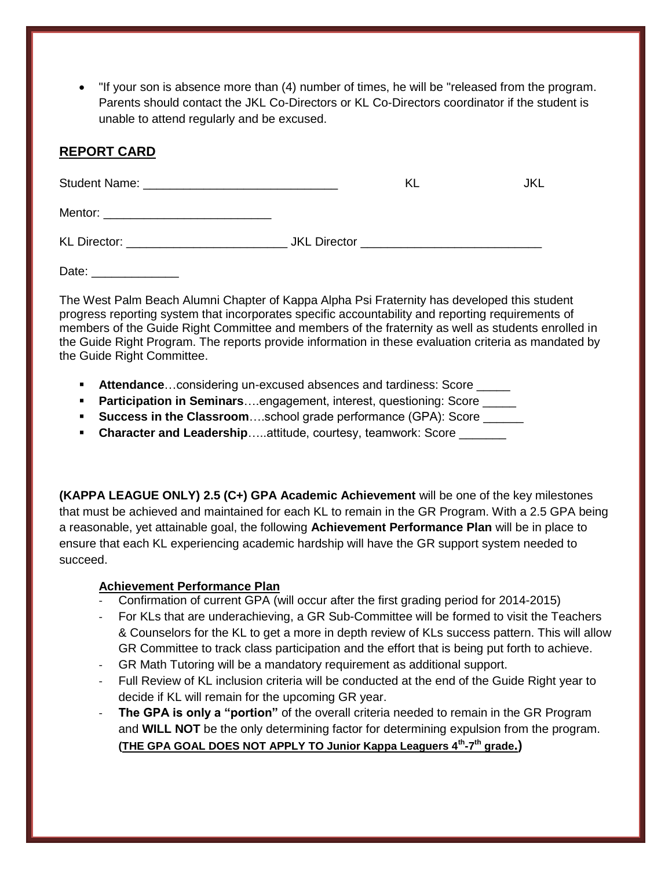"If your son is absence more than (4) number of times, he will be "released from the program. Parents should contact the JKL Co-Directors or KL Co-Directors coordinator if the student is unable to attend regularly and be excused.

#### **REPORT CARD**

|  | KL                                       | JKL. |
|--|------------------------------------------|------|
|  |                                          |      |
|  | <b>JKL</b> Director <b>CONTEXANGLICE</b> |      |

Date: \_\_\_\_\_\_\_\_\_\_

The West Palm Beach Alumni Chapter of Kappa Alpha Psi Fraternity has developed this student progress reporting system that incorporates specific accountability and reporting requirements of members of the Guide Right Committee and members of the fraternity as well as students enrolled in the Guide Right Program. The reports provide information in these evaluation criteria as mandated by the Guide Right Committee.

- **Attendance...considering un-excused absences and tardiness: Score \_\_\_\_\_\_**
- **Participation in Seminars** .... engagement, interest, questioning: Score **with the Strume**
- **Success in the Classroom**....school grade performance (GPA): Score \_\_\_\_\_\_
- **Character and Leadership.....attitude, courtesy, teamwork: Score \_\_\_\_\_\_\_**

**(KAPPA LEAGUE ONLY) 2.5 (C+) GPA Academic Achievement** will be one of the key milestones that must be achieved and maintained for each KL to remain in the GR Program. With a 2.5 GPA being a reasonable, yet attainable goal, the following **Achievement Performance Plan** will be in place to ensure that each KL experiencing academic hardship will have the GR support system needed to succeed.

#### **Achievement Performance Plan**

- Confirmation of current GPA (will occur after the first grading period for 2014-2015)
- For KLs that are underachieving, a GR Sub-Committee will be formed to visit the Teachers & Counselors for the KL to get a more in depth review of KLs success pattern. This will allow GR Committee to track class participation and the effort that is being put forth to achieve.
- GR Math Tutoring will be a mandatory requirement as additional support.
- Full Review of KL inclusion criteria will be conducted at the end of the Guide Right year to decide if KL will remain for the upcoming GR year.
- **The GPA is only a "portion"** of the overall criteria needed to remain in the GR Program and **WILL NOT** be the only determining factor for determining expulsion from the program. **(THE GPA GOAL DOES NOT APPLY TO Junior Kappa Leaguers 4th -7 th grade.)**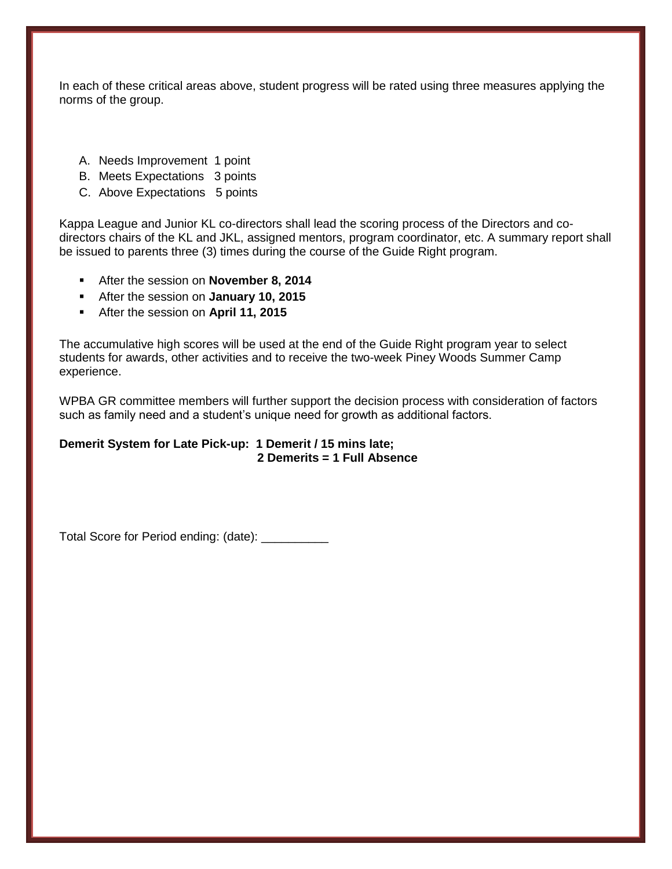In each of these critical areas above, student progress will be rated using three measures applying the norms of the group.

- A. Needs Improvement 1 point
- B. Meets Expectations 3 points
- C. Above Expectations 5 points

Kappa League and Junior KL co-directors shall lead the scoring process of the Directors and codirectors chairs of the KL and JKL, assigned mentors, program coordinator, etc. A summary report shall be issued to parents three (3) times during the course of the Guide Right program.

- After the session on **November 8, 2014**
- After the session on **January 10, 2015**
- After the session on **April 11, 2015**

The accumulative high scores will be used at the end of the Guide Right program year to select students for awards, other activities and to receive the two-week Piney Woods Summer Camp experience.

WPBA GR committee members will further support the decision process with consideration of factors such as family need and a student's unique need for growth as additional factors.

#### **Demerit System for Late Pick-up: 1 Demerit / 15 mins late; 2 Demerits = 1 Full Absence**

Total Score for Period ending: (date): \_\_\_\_\_\_\_\_\_\_